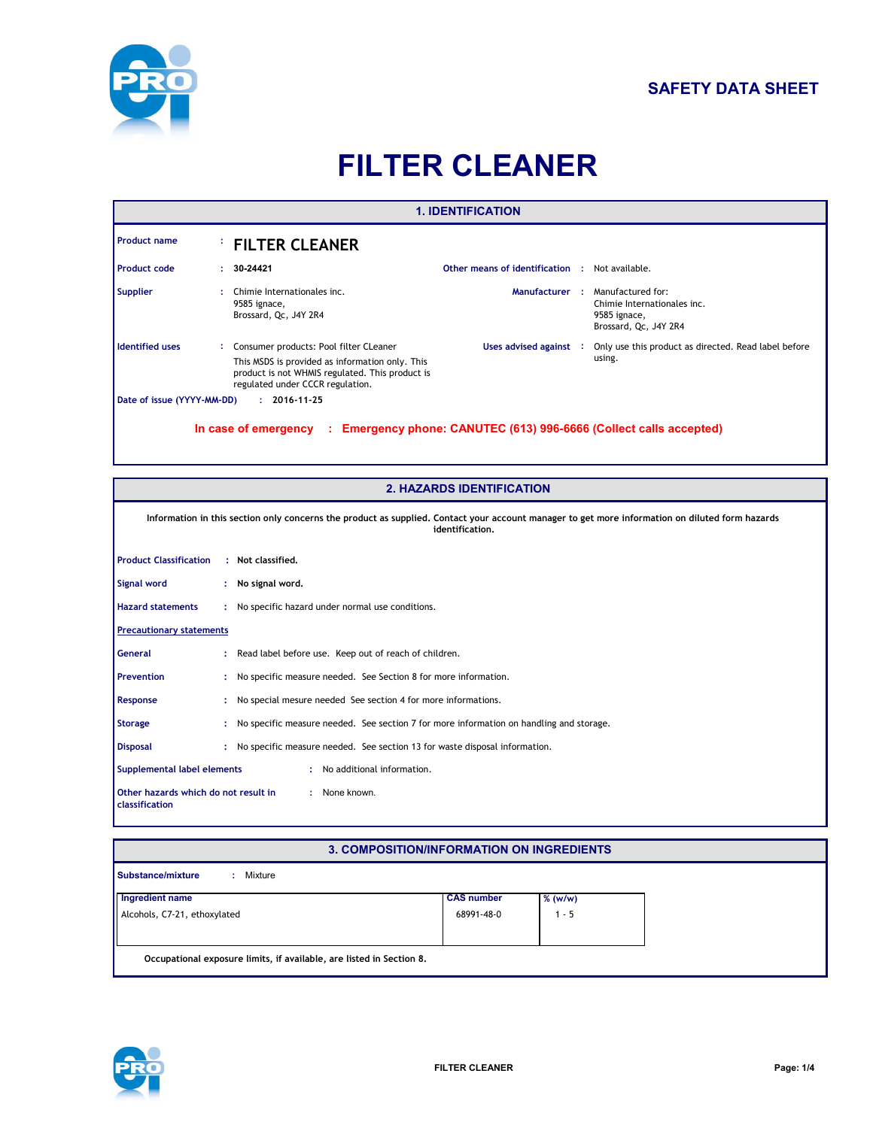

# **SAFETY DATA SHEET**

# **FILTER CLEANER**

| <b>1. IDENTIFICATION</b>        |  |                                                                                                                                                 |                                                       |  |                                                                                           |  |  |  |
|---------------------------------|--|-------------------------------------------------------------------------------------------------------------------------------------------------|-------------------------------------------------------|--|-------------------------------------------------------------------------------------------|--|--|--|
| <b>Product name</b>             |  | <b>FILTER CLEANER</b>                                                                                                                           |                                                       |  |                                                                                           |  |  |  |
| <b>Product code</b>             |  | 30-24421                                                                                                                                        | <b>Other means of identification : Not available.</b> |  |                                                                                           |  |  |  |
| <b>Supplier</b>                 |  | Chimie Internationales inc.<br>9585 ignace,<br>Brossard, Qc, J4Y 2R4                                                                            | Manufacturer:                                         |  | Manufactured for:<br>Chimie Internationales inc.<br>9585 ignace,<br>Brossard, Qc, J4Y 2R4 |  |  |  |
| <b>Identified uses</b>          |  | Consumer products: Pool filter CLeaner                                                                                                          | Uses advised against :                                |  | Only use this product as directed. Read label before                                      |  |  |  |
|                                 |  | This MSDS is provided as information only. This<br>product is not WHMIS regulated. This product is<br>regulated under CCCR regulation.          |                                                       |  | using.                                                                                    |  |  |  |
| Date of issue (YYYY-MM-DD)      |  | $: 2016 - 11 - 25$                                                                                                                              |                                                       |  |                                                                                           |  |  |  |
|                                 |  |                                                                                                                                                 | <b>2. HAZARDS IDENTIFICATION</b>                      |  |                                                                                           |  |  |  |
|                                 |  | Information in this section only concerns the product as supplied. Contact your account manager to get more information on diluted form hazards | identification.                                       |  |                                                                                           |  |  |  |
| <b>Product Classification</b>   |  | : Not classified.                                                                                                                               |                                                       |  |                                                                                           |  |  |  |
| <b>Signal word</b>              |  | : No signal word.                                                                                                                               |                                                       |  |                                                                                           |  |  |  |
| <b>Hazard statements</b>        |  | : No specific hazard under normal use conditions.                                                                                               |                                                       |  |                                                                                           |  |  |  |
| <b>Precautionary statements</b> |  |                                                                                                                                                 |                                                       |  |                                                                                           |  |  |  |
| <b>General</b>                  |  | Read label before use. Keep out of reach of children.                                                                                           |                                                       |  |                                                                                           |  |  |  |
| <b>Prevention</b>               |  | No specific measure needed. See Section 8 for more information.                                                                                 |                                                       |  |                                                                                           |  |  |  |
| Response                        |  | No special mesure needed See section 4 for more informations.                                                                                   |                                                       |  |                                                                                           |  |  |  |
| <b>Storage</b>                  |  | No specific measure needed. See section 7 for more information on handling and storage.                                                         |                                                       |  |                                                                                           |  |  |  |

**Disposal :** No specific measure needed. See section 13 for waste disposal information.

: No additional information. **Supplemental label elements :**

**Other hazards which do not result in classification :** None known.

# **3. COMPOSITION/INFORMATION ON INGREDIENTS**

| Ingredient name              | <b>CAS number</b> | $%$ (w/w) |
|------------------------------|-------------------|-----------|
| Alcohols, C7-21, ethoxylated | 68991-48-0        | $1 - 5$   |
|                              |                   |           |

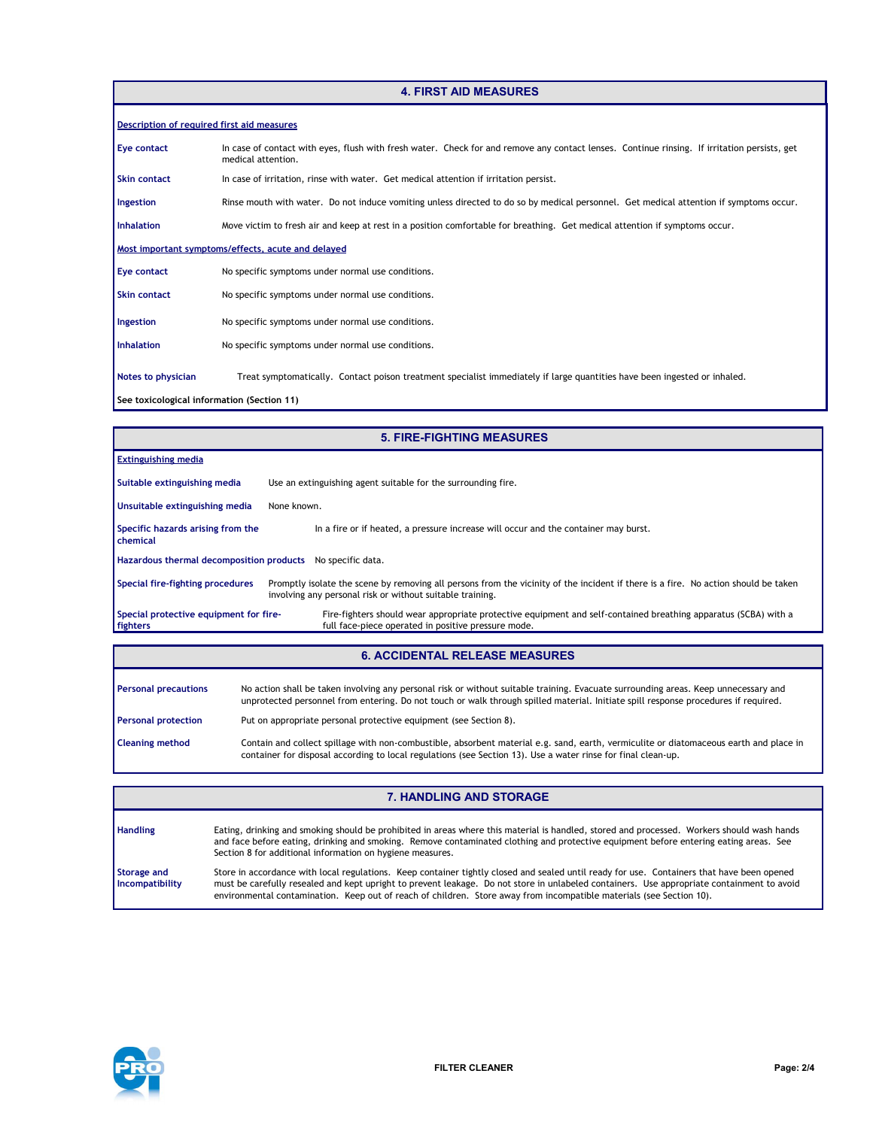#### **4. FIRST AID MEASURES**

| Description of required first aid measures |                                                                                                                                                                    |  |  |  |  |  |  |
|--------------------------------------------|--------------------------------------------------------------------------------------------------------------------------------------------------------------------|--|--|--|--|--|--|
| Eye contact                                | In case of contact with eyes, flush with fresh water. Check for and remove any contact lenses. Continue rinsing. If irritation persists, get<br>medical attention. |  |  |  |  |  |  |
| <b>Skin contact</b>                        | In case of irritation, rinse with water. Get medical attention if irritation persist.                                                                              |  |  |  |  |  |  |
| Ingestion                                  | Rinse mouth with water. Do not induce vomiting unless directed to do so by medical personnel. Get medical attention if symptoms occur.                             |  |  |  |  |  |  |
| <b>Inhalation</b>                          | Move victim to fresh air and keep at rest in a position comfortable for breathing. Get medical attention if symptoms occur.                                        |  |  |  |  |  |  |
|                                            | Most important symptoms/effects, acute and delayed                                                                                                                 |  |  |  |  |  |  |
| Eye contact                                | No specific symptoms under normal use conditions.                                                                                                                  |  |  |  |  |  |  |
| <b>Skin contact</b>                        | No specific symptoms under normal use conditions.                                                                                                                  |  |  |  |  |  |  |
| Ingestion                                  | No specific symptoms under normal use conditions.                                                                                                                  |  |  |  |  |  |  |
| <b>Inhalation</b>                          | No specific symptoms under normal use conditions.                                                                                                                  |  |  |  |  |  |  |
| Notes to physician                         | Treat symptomatically. Contact poison treatment specialist immediately if large quantities have been ingested or inhaled.                                          |  |  |  |  |  |  |
| See toxicological information (Section 11) |                                                                                                                                                                    |  |  |  |  |  |  |

| <b>5. FIRE-FIGHTING MEASURES</b>                           |                                                                                                                                                                                                 |  |  |  |  |
|------------------------------------------------------------|-------------------------------------------------------------------------------------------------------------------------------------------------------------------------------------------------|--|--|--|--|
| <b>Extinguishing media</b>                                 |                                                                                                                                                                                                 |  |  |  |  |
| Suitable extinguishing media                               | Use an extinguishing agent suitable for the surrounding fire.                                                                                                                                   |  |  |  |  |
| Unsuitable extinguishing media                             | None known.                                                                                                                                                                                     |  |  |  |  |
| Specific hazards arising from the<br>chemical              | In a fire or if heated, a pressure increase will occur and the container may burst.                                                                                                             |  |  |  |  |
| Hazardous thermal decomposition products No specific data. |                                                                                                                                                                                                 |  |  |  |  |
| Special fire-fighting procedures                           | Promptly isolate the scene by removing all persons from the vicinity of the incident if there is a fire. No action should be taken<br>involving any personal risk or without suitable training. |  |  |  |  |
| Special protective equipment for fire-<br>fighters         | Fire-fighters should wear appropriate protective equipment and self-contained breathing apparatus (SCBA) with a<br>full face-piece operated in positive pressure mode.                          |  |  |  |  |
|                                                            |                                                                                                                                                                                                 |  |  |  |  |

### **6. ACCIDENTAL RELEASE MEASURES**

| <b>Personal precautions</b> | No action shall be taken involving any personal risk or without suitable training. Evacuate surrounding areas. Keep unnecessary and<br>unprotected personnel from entering. Do not touch or walk through spilled material. Initiate spill response procedures if required. |
|-----------------------------|----------------------------------------------------------------------------------------------------------------------------------------------------------------------------------------------------------------------------------------------------------------------------|
| <b>Personal protection</b>  | Put on appropriate personal protective equipment (see Section 8).                                                                                                                                                                                                          |
| <b>Cleaning method</b>      | Contain and collect spillage with non-combustible, absorbent material e.g. sand, earth, vermiculite or diatomaceous earth and place in<br>container for disposal according to local regulations (see Section 13). Use a water rinse for final clean-up.                    |

#### **7. HANDLING AND STORAGE**

| <b>Handling</b>                       | Eating, drinking and smoking should be prohibited in areas where this material is handled, stored and processed. Workers should wash hands<br>and face before eating, drinking and smoking. Remove contaminated clothing and protective equipment before entering eating areas. See<br>Section 8 for additional information on hygiene measures.                                                                 |
|---------------------------------------|------------------------------------------------------------------------------------------------------------------------------------------------------------------------------------------------------------------------------------------------------------------------------------------------------------------------------------------------------------------------------------------------------------------|
| <b>Storage and</b><br>Incompatibility | Store in accordance with local regulations. Keep container tightly closed and sealed until ready for use. Containers that have been opened<br>must be carefully resealed and kept upright to prevent leakage. Do not store in unlabeled containers. Use appropriate containment to avoid<br>environmental contamination. Keep out of reach of children. Store away from incompatible materials (see Section 10). |

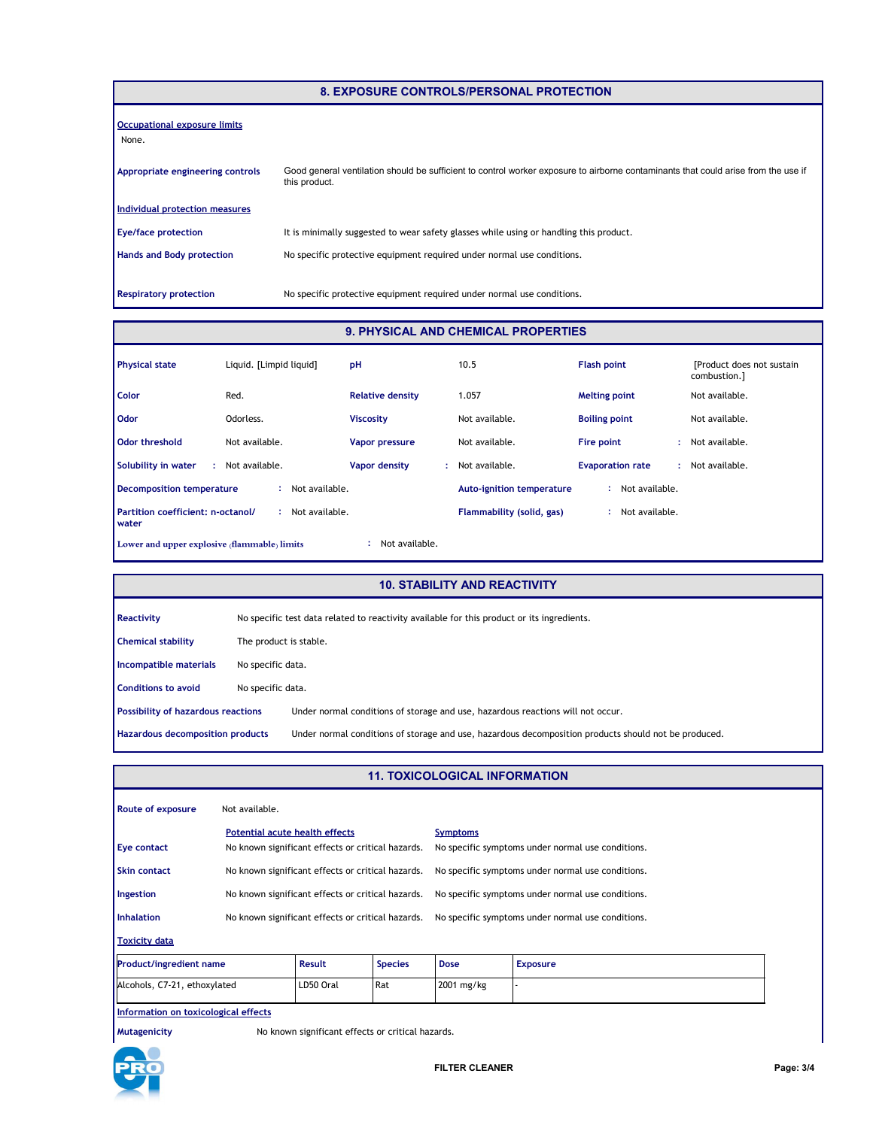| <b>8. EXPOSURE CONTROLS/PERSONAL PROTECTION</b> |                                                                                                                                                     |  |  |  |  |  |
|-------------------------------------------------|-----------------------------------------------------------------------------------------------------------------------------------------------------|--|--|--|--|--|
| <b>Occupational exposure limits</b><br>None.    |                                                                                                                                                     |  |  |  |  |  |
| Appropriate engineering controls                | Good general ventilation should be sufficient to control worker exposure to airborne contaminants that could arise from the use if<br>this product. |  |  |  |  |  |
| Individual protection measures                  |                                                                                                                                                     |  |  |  |  |  |
| <b>Eye/face protection</b>                      | It is minimally suggested to wear safety glasses while using or handling this product.                                                              |  |  |  |  |  |
| <b>Hands and Body protection</b>                | No specific protective equipment required under normal use conditions.                                                                              |  |  |  |  |  |
| <b>Respiratory protection</b>                   | No specific protective equipment required under normal use conditions.                                                                              |  |  |  |  |  |

# **9. PHYSICAL AND CHEMICAL PROPERTIES**

| <b>Physical state</b>                               | Liguid. [Limpid liguid] | pH                      | 10.5                             | <b>Flash point</b>      | [Product does not sustain]<br>combustion.] |
|-----------------------------------------------------|-------------------------|-------------------------|----------------------------------|-------------------------|--------------------------------------------|
| <b>Color</b>                                        | Red.                    | <b>Relative density</b> | 1.057                            | <b>Melting point</b>    | Not available.                             |
| <b>Odor</b>                                         | Odorless.               | <b>Viscosity</b>        | Not available.                   | <b>Boiling point</b>    | Not available.                             |
| Odor threshold                                      | Not available.          | Vapor pressure          | Not available.                   | Fire point              | : Not available.                           |
| Solubility in water<br>÷                            | Not available.          | Vapor density<br>÷.     | Not available.                   | <b>Evaporation rate</b> | Not available.                             |
| Decomposition temperature                           | Not available.          |                         | <b>Auto-ignition temperature</b> | Not available.          |                                            |
| Partition coefficient: n-octanol/<br><b>I</b> water | Not available.          |                         | Flammability (solid, gas)        | Not available.          |                                            |
| Lower and upper explosive (flammable) limits        |                         | Not available.          |                                  |                         |                                            |

#### **10. STABILITY AND REACTIVITY**

| Reactivity                                | No specific test data related to reactivity available for this product or its ingredients. |                                                                                                      |  |  |  |
|-------------------------------------------|--------------------------------------------------------------------------------------------|------------------------------------------------------------------------------------------------------|--|--|--|
| <b>Chemical stability</b>                 |                                                                                            | The product is stable.                                                                               |  |  |  |
| Incompatible materials                    | No specific data.                                                                          |                                                                                                      |  |  |  |
| <b>Conditions to avoid</b>                | No specific data.                                                                          |                                                                                                      |  |  |  |
| <b>Possibility of hazardous reactions</b> |                                                                                            | Under normal conditions of storage and use, hazardous reactions will not occur.                      |  |  |  |
| Hazardous decomposition products          |                                                                                            | Under normal conditions of storage and use, hazardous decomposition products should not be produced. |  |  |  |

# **11. TOXICOLOGICAL INFORMATION**

| Route of exposure                               | Not available.                                                                      |           |                                                   |                                                                      |                 |  |  |
|-------------------------------------------------|-------------------------------------------------------------------------------------|-----------|---------------------------------------------------|----------------------------------------------------------------------|-----------------|--|--|
| <b>Eye contact</b>                              | Potential acute health effects<br>No known significant effects or critical hazards. |           |                                                   | <b>Symptoms</b><br>No specific symptoms under normal use conditions. |                 |  |  |
| <b>Skin contact</b>                             | No known significant effects or critical hazards.                                   |           | No specific symptoms under normal use conditions. |                                                                      |                 |  |  |
| Ingestion                                       | No known significant effects or critical hazards.                                   |           | No specific symptoms under normal use conditions. |                                                                      |                 |  |  |
| <b>Inhalation</b>                               | No known significant effects or critical hazards.                                   |           |                                                   | No specific symptoms under normal use conditions.                    |                 |  |  |
| <b>Toxicity data</b>                            |                                                                                     |           |                                                   |                                                                      |                 |  |  |
| <b>Result</b><br><b>Product/ingredient name</b> |                                                                                     |           | <b>Species</b>                                    | <b>Dose</b>                                                          | <b>Exposure</b> |  |  |
| Alcohols, C7-21, ethoxylated                    |                                                                                     | LD50 Oral | Rat                                               | 2001 mg/kg                                                           |                 |  |  |
| Information on toxicological effects            |                                                                                     |           |                                                   |                                                                      |                 |  |  |

**Mutagenicity** No known significant effects or critical hazards.